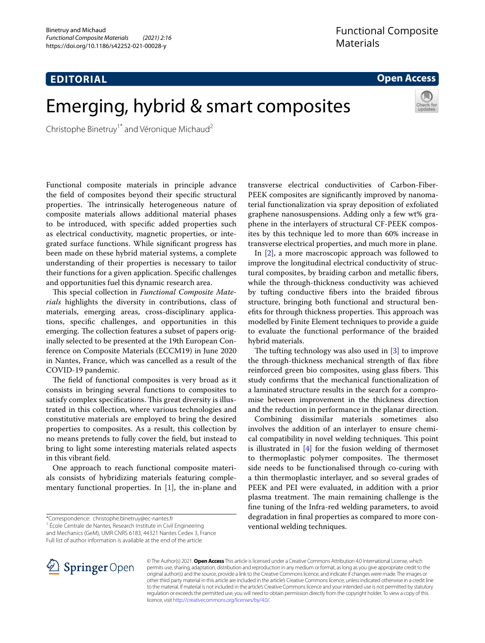## **EDITORIAL**

**Open Access**

# Emerging, hybrid & smart composites

Christophe Binetruy<sup>1\*</sup> and Véronique Michaud<sup>2</sup>

Functional composite materials in principle advance the feld of composites beyond their specifc structural properties. The intrinsically heterogeneous nature of composite materials allows additional material phases to be introduced, with specifc added properties such as electrical conductivity, magnetic properties, or integrated surface functions. While signifcant progress has been made on these hybrid material systems, a complete understanding of their properties is necessary to tailor their functions for a given application. Specifc challenges and opportunities fuel this dynamic research area.

This special collection in *Functional Composite Materials* highlights the diversity in contributions, class of materials, emerging areas, cross-disciplinary applications, specifc challenges, and opportunities in this emerging. The collection features a subset of papers originally selected to be presented at the 19th European Conference on Composite Materials (ECCM19) in June 2020 in Nantes, France, which was cancelled as a result of the COVID-19 pandemic.

The field of functional composites is very broad as it consists in bringing several functions to composites to satisfy complex specifications. This great diversity is illustrated in this collection, where various technologies and constitutive materials are employed to bring the desired properties to composites. As a result, this collection by no means pretends to fully cover the feld, but instead to bring to light some interesting materials related aspects in this vibrant feld.

One approach to reach functional composite materials consists of hybridizing materials featuring complementary functional properties. In [[1\]](#page-1-0), the in-plane and

\*Correspondence: christophe.binetruy@ec-nantes.fr

<sup>1</sup> École Centrale de Nantes, Research Institute in Civil Engineering and Mechanics (GeM), UMR CNRS 6183, 44321 Nantes Cedex 3, France Full list of author information is available at the end of the article

transverse electrical conductivities of Carbon-Fiber-PEEK composites are signifcantly improved by nanomaterial functionalization via spray deposition of exfoliated graphene nanosuspensions. Adding only a few wt% graphene in the interlayers of structural CF-PEEK composites by this technique led to more than 60% increase in transverse electrical properties, and much more in plane.

In [\[2](#page-1-1)], a more macroscopic approach was followed to improve the longitudinal electrical conductivity of structural composites, by braiding carbon and metallic fbers, while the through-thickness conductivity was achieved by tufting conductive fbers into the braided fbrous structure, bringing both functional and structural benefits for through thickness properties. This approach was modelled by Finite Element techniques to provide a guide to evaluate the functional performance of the braided hybrid materials.

The tufting technology was also used in  $[3]$  $[3]$  to improve the through-thickness mechanical strength of fax fbre reinforced green bio composites, using glass fibers. This study confrms that the mechanical functionalization of a laminated structure results in the search for a compromise between improvement in the thickness direction and the reduction in performance in the planar direction.

Combining dissimilar materials sometimes also involves the addition of an interlayer to ensure chemical compatibility in novel welding techniques. This point is illustrated in [\[4](#page-1-3)] for the fusion welding of thermoset to thermoplastic polymer composites. The thermoset side needs to be functionalised through co-curing with a thin thermoplastic interlayer, and so several grades of PEEK and PEI were evaluated, in addition with a prior plasma treatment. The main remaining challenge is the fne tuning of the Infra-red welding parameters, to avoid degradation in fnal properties as compared to more conventional welding techniques.



© The Author(s) 2021. **Open Access** This article is licensed under a Creative Commons Attribution 4.0 International License, which permits use, sharing, adaptation, distribution and reproduction in any medium or format, as long as you give appropriate credit to the original author(s) and the source, provide a link to the Creative Commons licence, and indicate if changes were made. The images or other third party material in this article are included in the article's Creative Commons licence, unless indicated otherwise in a credit line to the material. If material is not included in the article's Creative Commons licence and your intended use is not permitted by statutory regulation or exceeds the permitted use, you will need to obtain permission directly from the copyright holder. To view a copy of this licence, visit [http://creativecommons.org/licenses/by/4.0/.](http://creativecommons.org/licenses/by/4.0/)